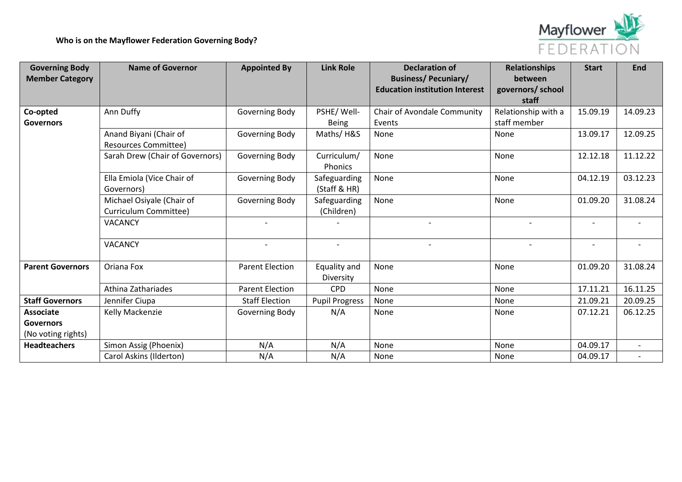

| <b>Governing Body</b><br><b>Member Category</b>            | <b>Name of Governor</b>                               | <b>Appointed By</b>    | <b>Link Role</b>              | <b>Declaration of</b><br><b>Business/Pecuniary/</b><br><b>Education institution Interest</b> | <b>Relationships</b><br>between<br>governors/ school<br>staff | <b>Start</b>             | End                      |
|------------------------------------------------------------|-------------------------------------------------------|------------------------|-------------------------------|----------------------------------------------------------------------------------------------|---------------------------------------------------------------|--------------------------|--------------------------|
| Co-opted<br><b>Governors</b>                               | Ann Duffy                                             | Governing Body         | PSHE/Well-<br><b>Being</b>    | Chair of Avondale Community<br>Events                                                        | Relationship with a<br>staff member                           | 15.09.19                 | 14.09.23                 |
|                                                            | Anand Biyani (Chair of<br><b>Resources Committee)</b> | Governing Body         | Maths/H&S                     | None                                                                                         | None                                                          | 13.09.17                 | 12.09.25                 |
|                                                            | Sarah Drew (Chair of Governors)                       | Governing Body         | Curriculum/<br><b>Phonics</b> | None                                                                                         | None                                                          | 12.12.18                 | 11.12.22                 |
|                                                            | Ella Emiola (Vice Chair of<br>Governors)              | Governing Body         | Safeguarding<br>(Staff & HR)  | None                                                                                         | None                                                          | 04.12.19                 | 03.12.23                 |
|                                                            | Michael Osiyale (Chair of<br>Curriculum Committee)    | Governing Body         | Safeguarding<br>(Children)    | None                                                                                         | None                                                          | 01.09.20                 | 31.08.24                 |
|                                                            | VACANCY                                               |                        |                               |                                                                                              |                                                               |                          |                          |
|                                                            | <b>VACANCY</b>                                        |                        | $\sim$                        |                                                                                              |                                                               | $\overline{\phantom{0}}$ |                          |
| <b>Parent Governors</b>                                    | Oriana Fox                                            | <b>Parent Election</b> | Equality and<br>Diversity     | None                                                                                         | None                                                          | 01.09.20                 | 31.08.24                 |
|                                                            | Athina Zathariades                                    | <b>Parent Election</b> | <b>CPD</b>                    | None                                                                                         | None                                                          | 17.11.21                 | 16.11.25                 |
| <b>Staff Governors</b>                                     | Jennifer Ciupa                                        | <b>Staff Election</b>  | <b>Pupil Progress</b>         | None                                                                                         | None                                                          | 21.09.21                 | 20.09.25                 |
| <b>Associate</b><br><b>Governors</b><br>(No voting rights) | Kelly Mackenzie                                       | Governing Body         | N/A                           | None                                                                                         | None                                                          | 07.12.21                 | 06.12.25                 |
| <b>Headteachers</b>                                        | Simon Assig (Phoenix)                                 | N/A                    | N/A                           | None                                                                                         | None                                                          | 04.09.17                 | $\overline{\phantom{a}}$ |
|                                                            | Carol Askins (Ilderton)                               | N/A                    | N/A                           | None                                                                                         | None                                                          | 04.09.17                 |                          |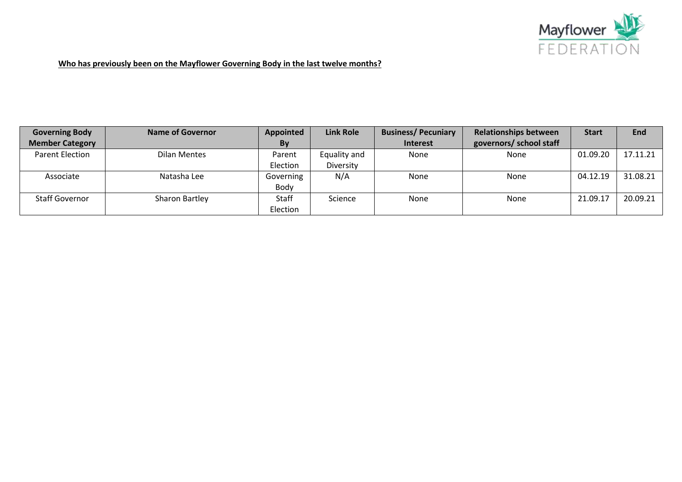

**Who has previously been on the Mayflower Governing Body in the last twelve months?**

| <b>Governing Body</b>  | Name of Governor | Appointed    | <b>Link Role</b> | <b>Business/Pecuniary</b> | <b>Relationships between</b> | <b>Start</b> | <b>End</b> |
|------------------------|------------------|--------------|------------------|---------------------------|------------------------------|--------------|------------|
| <b>Member Category</b> |                  | By           |                  | <b>Interest</b>           | governors/ school staff      |              |            |
| <b>Parent Election</b> | Dilan Mentes     | Parent       | Equality and     | None                      | None                         | 01.09.20     | 17.11.21   |
|                        |                  | Election     | Diversity        |                           |                              |              |            |
| Associate              | Natasha Lee      | Governing    | N/A              | None                      | None                         | 04.12.19     | 31.08.21   |
|                        |                  | Body         |                  |                           |                              |              |            |
| <b>Staff Governor</b>  | Sharon Bartley   | <b>Staff</b> | Science          | None                      | None                         | 21.09.17     | 20.09.21   |
|                        |                  | Election     |                  |                           |                              |              |            |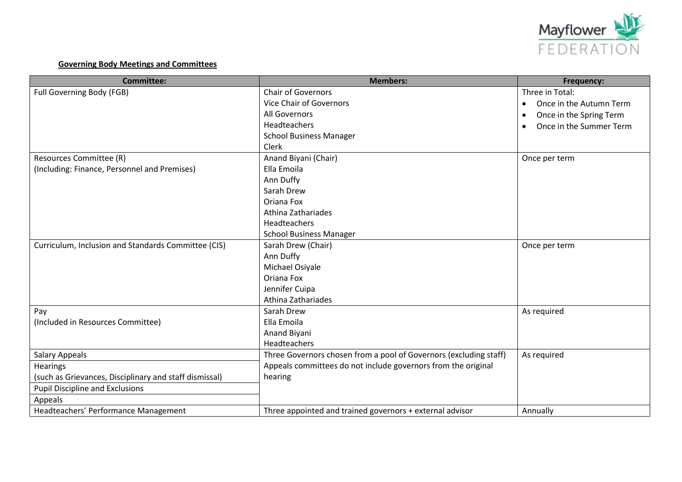

# **Governing Body Meetings and Committees**

| <b>Committee:</b>                                      | <b>Members:</b>                                                   | Frequency:                           |
|--------------------------------------------------------|-------------------------------------------------------------------|--------------------------------------|
| Full Governing Body (FGB)                              | <b>Chair of Governors</b>                                         | Three in Total:                      |
|                                                        | <b>Vice Chair of Governors</b>                                    | Once in the Autumn Term<br>$\bullet$ |
|                                                        | All Governors                                                     | Once in the Spring Term<br>$\bullet$ |
|                                                        | Headteachers                                                      | Once in the Summer Term<br>$\bullet$ |
|                                                        | <b>School Business Manager</b>                                    |                                      |
|                                                        | Clerk                                                             |                                      |
| Resources Committee (R)                                | Anand Biyani (Chair)                                              | Once per term                        |
| (Including: Finance, Personnel and Premises)           | Ella Emoila                                                       |                                      |
|                                                        | Ann Duffy                                                         |                                      |
|                                                        | Sarah Drew                                                        |                                      |
|                                                        | Oriana Fox                                                        |                                      |
|                                                        | Athina Zathariades                                                |                                      |
|                                                        | Headteachers                                                      |                                      |
|                                                        | <b>School Business Manager</b>                                    |                                      |
| Curriculum, Inclusion and Standards Committee (CIS)    | Sarah Drew (Chair)                                                | Once per term                        |
|                                                        | Ann Duffy                                                         |                                      |
|                                                        | Michael Osiyale                                                   |                                      |
|                                                        | Oriana Fox                                                        |                                      |
|                                                        | Jennifer Cuipa                                                    |                                      |
|                                                        | Athina Zathariades                                                |                                      |
| Pay                                                    | Sarah Drew                                                        | As required                          |
| (Included in Resources Committee)                      | Ella Emoila                                                       |                                      |
|                                                        | Anand Biyani                                                      |                                      |
|                                                        | Headteachers                                                      |                                      |
| <b>Salary Appeals</b>                                  | Three Governors chosen from a pool of Governors (excluding staff) | As required                          |
| <b>Hearings</b>                                        | Appeals committees do not include governors from the original     |                                      |
| (such as Grievances, Disciplinary and staff dismissal) | hearing                                                           |                                      |
| <b>Pupil Discipline and Exclusions</b>                 |                                                                   |                                      |
| Appeals                                                |                                                                   |                                      |
| Headteachers' Performance Management                   | Three appointed and trained governors + external advisor          | Annually                             |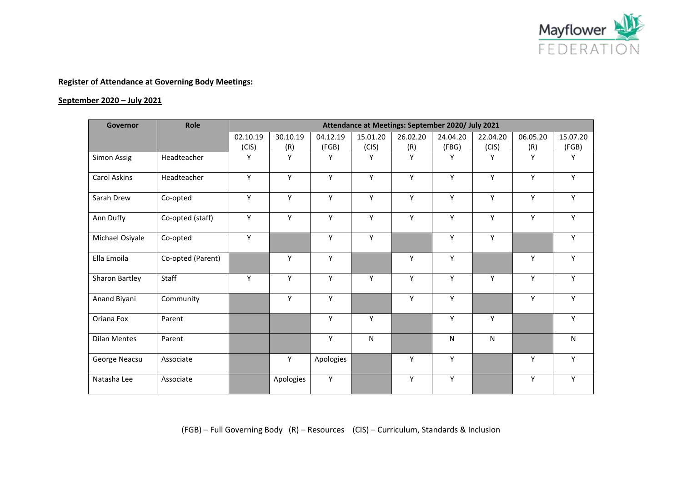

### **September 2020 – July 2021**

| Governor            | Role              | Attendance at Meetings: September 2020/ July 2021 |           |           |           |          |           |           |          |          |  |
|---------------------|-------------------|---------------------------------------------------|-----------|-----------|-----------|----------|-----------|-----------|----------|----------|--|
|                     |                   | 02.10.19                                          | 30.10.19  | 04.12.19  | 15.01.20  | 26.02.20 | 24.04.20  | 22.04.20  | 06.05.20 | 15.07.20 |  |
|                     |                   | (CIS)                                             | (R)       | (FGB)     | (CIS)     | (R)      | (FBG)     | (CIS)     | (R)      | (FGB)    |  |
| Simon Assig         | Headteacher       | Y                                                 | Y         | Y         | Y         | Y        | Y         | Y         | Y        | Y        |  |
| Carol Askins        | Headteacher       | Y                                                 | Y         | Y         | Y         | Y        | Y         | Y         | Y        | Y        |  |
| Sarah Drew          | Co-opted          | Y                                                 | Y         | Y         | Y         | Y        | Y         | Y         | Y        | Y        |  |
| Ann Duffy           | Co-opted (staff)  | Y                                                 | Y         | Y         | Y         | Y        | Y         | Y         | Y        | Y        |  |
| Michael Osiyale     | Co-opted          | Y                                                 |           | Y         | Y         |          | Y         | Y         |          | Y        |  |
| Ella Emoila         | Co-opted (Parent) |                                                   | Y         | Y         |           | Y        | Y         |           | Y        | Y        |  |
| Sharon Bartley      | Staff             | Υ                                                 | Y         | Y         | Υ         | Y        | Y         | Υ         | Υ        | Y        |  |
| Anand Biyani        | Community         |                                                   | Y         | Y         |           | Y        | Y         |           | Y        | Y        |  |
| Oriana Fox          | Parent            |                                                   |           | Y         | Y         |          | Y         | Y         |          | Y        |  |
| <b>Dilan Mentes</b> | Parent            |                                                   |           | Υ         | ${\sf N}$ |          | ${\sf N}$ | ${\sf N}$ |          | N        |  |
| George Neacsu       | Associate         |                                                   | Y         | Apologies |           | Y        | Y         |           | Υ        | Y        |  |
| Natasha Lee         | Associate         |                                                   | Apologies | Y         |           | Y        | Y         |           | Y        | Y        |  |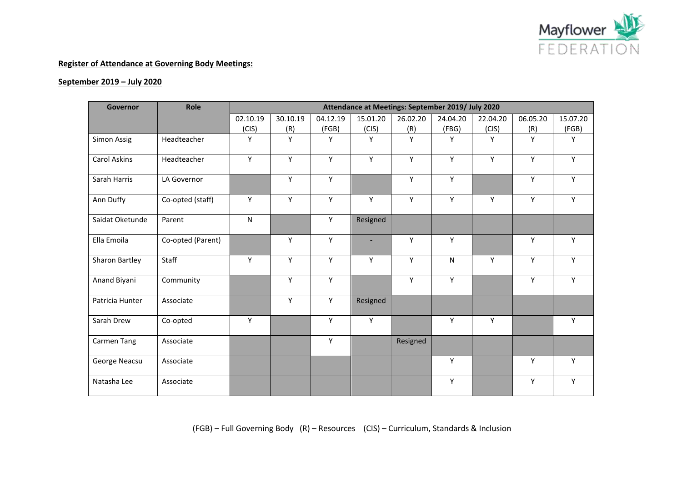

#### **September 2019 – July 2020**

| Governor        | Role              | Attendance at Meetings: September 2019/ July 2020 |          |          |                          |          |          |          |          |          |  |  |
|-----------------|-------------------|---------------------------------------------------|----------|----------|--------------------------|----------|----------|----------|----------|----------|--|--|
|                 |                   | 02.10.19                                          | 30.10.19 | 04.12.19 | 15.01.20                 | 26.02.20 | 24.04.20 | 22.04.20 | 06.05.20 | 15.07.20 |  |  |
|                 |                   | (CIS)                                             | (R)      | (FGB)    | (CIS)                    | (R)      | (FBG)    | (CIS)    | (R)      | (FGB)    |  |  |
| Simon Assig     | Headteacher       | Y                                                 | Y        | Y        | Y                        | Y        | Y        | Y        | Y        | Y        |  |  |
| Carol Askins    | Headteacher       | Y                                                 | Y        | Y        | Y                        | Y        | Y        | Y        | Y        | Y        |  |  |
| Sarah Harris    | LA Governor       |                                                   | Y        | Y        |                          | Υ        | Y        |          | Y        | Y        |  |  |
| Ann Duffy       | Co-opted (staff)  | Y                                                 | Y        | Y        | Y                        | Y        | Y        | Y        | Y        | Y        |  |  |
| Saidat Oketunde | Parent            | ${\sf N}$                                         |          | Y        | Resigned                 |          |          |          |          |          |  |  |
| Ella Emoila     | Co-opted (Parent) |                                                   | Y        | Y        | $\overline{\phantom{a}}$ | Y        | Y        |          | Y        | Y        |  |  |
| Sharon Bartley  | Staff             | Y                                                 | Y        | Y        | Y                        | Y        | N        | Y        | Y        | Y        |  |  |
| Anand Biyani    | Community         |                                                   | Y        | Y        |                          | Y        | Y        |          | Y        | Y        |  |  |
| Patricia Hunter | Associate         |                                                   | Y        | Y        | Resigned                 |          |          |          |          |          |  |  |
| Sarah Drew      | Co-opted          | Y                                                 |          | Y        | Y                        |          | Y        | Y        |          | Y        |  |  |
| Carmen Tang     | Associate         |                                                   |          | Υ        |                          | Resigned |          |          |          |          |  |  |
| George Neacsu   | Associate         |                                                   |          |          |                          |          | Y        |          | Y        | Y        |  |  |
| Natasha Lee     | Associate         |                                                   |          |          |                          |          | Υ        |          | Υ        | Y        |  |  |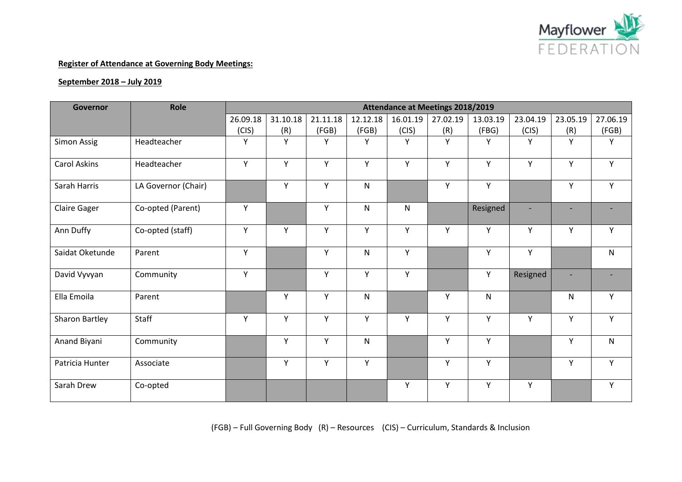

### **September 2018 – July 2019**

| <b>Governor</b>     | Role                | <b>Attendance at Meetings 2018/2019</b> |          |          |              |          |          |              |          |          |              |
|---------------------|---------------------|-----------------------------------------|----------|----------|--------------|----------|----------|--------------|----------|----------|--------------|
|                     |                     | 26.09.18                                | 31.10.18 | 21.11.18 | 12.12.18     | 16.01.19 | 27.02.19 | 13.03.19     | 23.04.19 | 23.05.19 | 27.06.19     |
|                     |                     | (CIS)                                   | (R)      | (FGB)    | (FGB)        | (CIS)    | (R)      | (FBG)        | (CIS)    | (R)      | (FGB)        |
| Simon Assig         | Headteacher         | Y                                       | Y        | Y        | Y            | Y        | Y        | Y            | Y        | Y        | Y            |
| <b>Carol Askins</b> | Headteacher         | Y                                       | Y        | Y        | Y            | Y        | Y        | Y            | Y        | Y        | Y            |
| Sarah Harris        | LA Governor (Chair) |                                         | Υ        | Y        | $\mathsf{N}$ |          | Y        | Υ            |          | Y        | Y            |
| <b>Claire Gager</b> | Co-opted (Parent)   | Y                                       |          | Y        | $\mathsf{N}$ | N        |          | Resigned     |          |          |              |
| Ann Duffy           | Co-opted (staff)    | Y                                       | Υ        | Y        | Y            | Y        | Y        | Y            | Y        | Y        | Υ            |
| Saidat Oketunde     | Parent              | Y                                       |          | Y        | $\mathsf{N}$ | Y        |          | Y            | Y        |          | ${\sf N}$    |
| David Vyvyan        | Community           | Y                                       |          | Y        | Y            | Y        |          | Υ            | Resigned |          |              |
| Ella Emoila         | Parent              |                                         | Y        | Y        | $\mathsf{N}$ |          | Y        | $\mathsf{N}$ |          | N        | Y            |
| Sharon Bartley      | Staff               | Y                                       | Y        | Y        | Y            | Y        | Y        | Y            | Y        | Y        | Y            |
| Anand Biyani        | Community           |                                         | Y        | Y        | ${\sf N}$    |          | Y        | Y            |          | Y        | $\mathsf{N}$ |
| Patricia Hunter     | Associate           |                                         | Υ        | Y        | Y            |          | Y        | Y            |          | Y        | Y            |
| Sarah Drew          | Co-opted            |                                         |          |          |              | Y        | Y        | Y            | Y        |          | Y            |

(FGB) – Full Governing Body (R) – Resources (CIS) – Curriculum, Standards & Inclusion